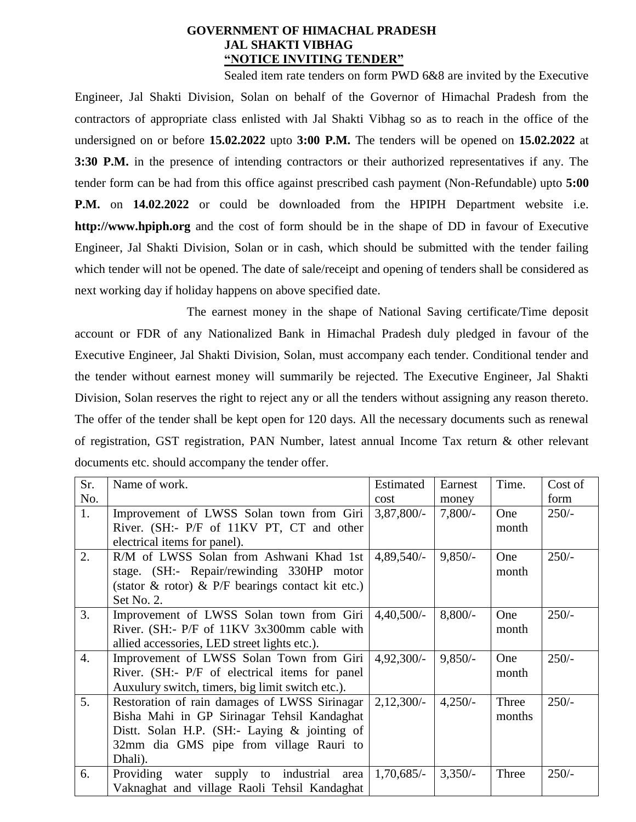## **GOVERNMENT OF HIMACHAL PRADESH JAL SHAKTI VIBHAG "NOTICE INVITING TENDER"**

Sealed item rate tenders on form PWD 6&8 are invited by the Executive Engineer, Jal Shakti Division, Solan on behalf of the Governor of Himachal Pradesh from the contractors of appropriate class enlisted with Jal Shakti Vibhag so as to reach in the office of the undersigned on or before **15.02.2022** upto **3:00 P.M.** The tenders will be opened on **15.02.2022** at **3:30 P.M.** in the presence of intending contractors or their authorized representatives if any. The tender form can be had from this office against prescribed cash payment (Non-Refundable) upto **5:00 P.M.** on **14.02.2022** or could be downloaded from the HPIPH Department website i.e. **http://www.hpiph.org** and the cost of form should be in the shape of DD in favour of Executive Engineer, Jal Shakti Division, Solan or in cash, which should be submitted with the tender failing which tender will not be opened. The date of sale/receipt and opening of tenders shall be considered as next working day if holiday happens on above specified date.

The earnest money in the shape of National Saving certificate/Time deposit account or FDR of any Nationalized Bank in Himachal Pradesh duly pledged in favour of the Executive Engineer, Jal Shakti Division, Solan, must accompany each tender. Conditional tender and the tender without earnest money will summarily be rejected. The Executive Engineer, Jal Shakti Division, Solan reserves the right to reject any or all the tenders without assigning any reason thereto. The offer of the tender shall be kept open for 120 days. All the necessary documents such as renewal of registration, GST registration, PAN Number, latest annual Income Tax return & other relevant documents etc. should accompany the tender offer.

| Sr.              | Name of work.                                           | Estimated    | Earnest   | Time.  | Cost of |
|------------------|---------------------------------------------------------|--------------|-----------|--------|---------|
| No.              |                                                         | cost         | money     |        | form    |
| 1.               | Improvement of LWSS Solan town from Giri                | 3,87,800/    | $7,800/-$ | One    | $250/-$ |
|                  | River. (SH:- P/F of 11KV PT, CT and other               |              |           | month  |         |
|                  | electrical items for panel).                            |              |           |        |         |
| 2.               | R/M of LWSS Solan from Ashwani Khad 1st                 | $4,89,540/-$ | $9,850/-$ | One    | $250/-$ |
|                  | stage. (SH:- Repair/rewinding 330HP motor               |              |           | month  |         |
|                  | (stator $\&$ rotor) $\&$ P/F bearings contact kit etc.) |              |           |        |         |
|                  | Set No. 2.                                              |              |           |        |         |
| 3.               | Improvement of LWSS Solan town from Giri                | $4,40,500/-$ | $8,800/-$ | One    | $250/-$ |
|                  | River. (SH:- P/F of 11KV 3x300mm cable with             |              |           | month  |         |
|                  | allied accessories, LED street lights etc.).            |              |           |        |         |
| $\overline{4}$ . | Improvement of LWSS Solan Town from Giri                | $4,92,300/-$ | $9,850/-$ | One    | $250/-$ |
|                  | River. (SH:- P/F of electrical items for panel          |              |           | month  |         |
|                  | Auxulury switch, timers, big limit switch etc.).        |              |           |        |         |
| 5.               | Restoration of rain damages of LWSS Sirinagar           | $2,12,300/-$ | $4,250/-$ | Three  | $250/-$ |
|                  | Bisha Mahi in GP Sirinagar Tehsil Kandaghat             |              |           | months |         |
|                  | Distt. Solan H.P. (SH:- Laying $\&$ jointing of         |              |           |        |         |
|                  | 32mm dia GMS pipe from village Rauri to                 |              |           |        |         |
|                  | Dhali).                                                 |              |           |        |         |
| 6.               | Providing water supply to industrial area               | $1,70,685/-$ | $3,350/-$ | Three  | $250/-$ |
|                  | Vaknaghat and village Raoli Tehsil Kandaghat            |              |           |        |         |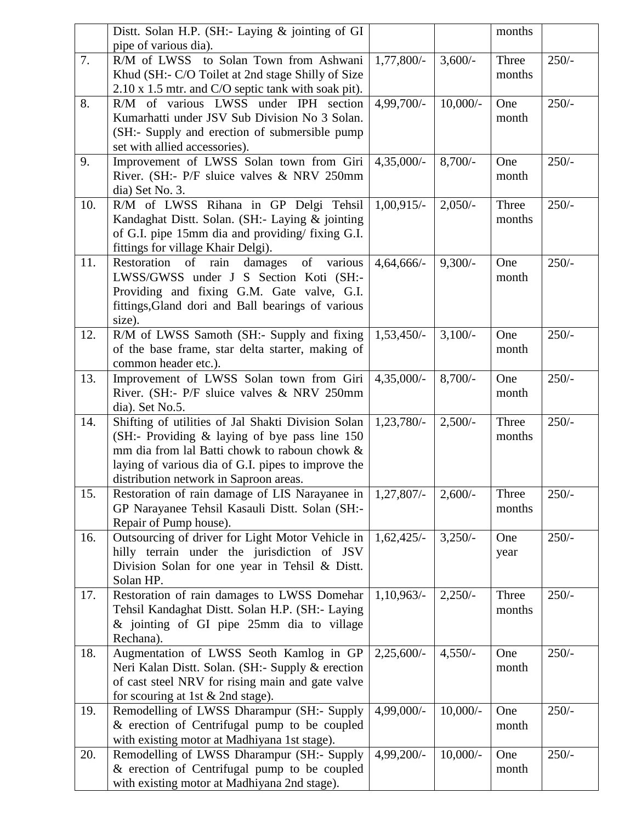|     | Distt. Solan H.P. (SH:- Laying & jointing of GI     |               |            | months |         |
|-----|-----------------------------------------------------|---------------|------------|--------|---------|
|     | pipe of various dia).                               |               |            |        |         |
| 7.  | R/M of LWSS to Solan Town from Ashwani              | 1,77,800/-    | $3,600/-$  | Three  | $250/-$ |
|     | Khud (SH:- C/O Toilet at 2nd stage Shilly of Size   |               |            | months |         |
|     | 2.10 x 1.5 mtr. and C/O septic tank with soak pit). |               |            |        |         |
| 8.  | R/M of various LWSS under IPH section               | 4,99,700/-    | $10,000/-$ | One    | $250/-$ |
|     | Kumarhatti under JSV Sub Division No 3 Solan.       |               |            | month  |         |
|     | (SH:- Supply and erection of submersible pump       |               |            |        |         |
|     | set with allied accessories).                       |               |            |        |         |
| 9.  | Improvement of LWSS Solan town from Giri            | $4,35,000/-$  | $8,700/-$  | One    | $250/-$ |
|     | River. (SH:- P/F sluice valves & NRV 250mm          |               |            | month  |         |
|     | dia) Set No. 3.                                     |               |            |        |         |
| 10. | R/M of LWSS Rihana in GP Delgi Tehsil               | $1,00,915/-$  | $2,050/-$  | Three  | $250/-$ |
|     | Kandaghat Distt. Solan. (SH:- Laying & jointing     |               |            | months |         |
|     | of G.I. pipe 15mm dia and providing/ fixing G.I.    |               |            |        |         |
|     | fittings for village Khair Delgi).                  |               |            |        |         |
| 11. | Restoration of rain damages of various              | $4,64,666/-$  | $9,300/-$  | One    | $250/-$ |
|     | LWSS/GWSS under J S Section Koti (SH:-              |               |            | month  |         |
|     | Providing and fixing G.M. Gate valve, G.I.          |               |            |        |         |
|     | fittings, Gland dori and Ball bearings of various   |               |            |        |         |
|     | size).                                              |               |            |        |         |
| 12. | R/M of LWSS Samoth (SH:- Supply and fixing          | $1,53,450/-$  | $3,100/-$  | One    | $250/-$ |
|     | of the base frame, star delta starter, making of    |               |            | month  |         |
|     | common header etc.).                                |               |            |        |         |
| 13. | Improvement of LWSS Solan town from Giri            | $4,35,000/-$  | $8,700/-$  | One    | $250/-$ |
|     | River. (SH:- P/F sluice valves & NRV 250mm          |               |            | month  |         |
|     | dia). Set No.5.                                     |               |            |        |         |
| 14. | Shifting of utilities of Jal Shakti Division Solan  | 1,23,780/-    | $2,500/-$  | Three  | $250/-$ |
|     | (SH:- Providing $\&$ laying of bye pass line 150    |               |            | months |         |
|     | mm dia from lal Batti chowk to raboun chowk &       |               |            |        |         |
|     | laying of various dia of G.I. pipes to improve the  |               |            |        |         |
|     | distribution network in Saproon areas.              |               |            |        |         |
| 15. | Restoration of rain damage of LIS Narayanee in      | $1,27,807/-$  | $2,600/-$  | Three  | $250/-$ |
|     | GP Narayanee Tehsil Kasauli Distt. Solan (SH:-      |               |            | months |         |
|     | Repair of Pump house).                              |               |            |        |         |
| 16. | Outsourcing of driver for Light Motor Vehicle in    | $1,62,425/-$  | $3,250/-$  | One    | $250/-$ |
|     | hilly terrain under the jurisdiction of JSV         |               |            | year   |         |
|     | Division Solan for one year in Tehsil & Distt.      |               |            |        |         |
|     | Solan HP.                                           |               |            |        |         |
| 17. | Restoration of rain damages to LWSS Domehar         | $1,10,963/-$  | 2,250/     | Three  | $250/-$ |
|     | Tehsil Kandaghat Distt. Solan H.P. (SH:- Laying     |               |            | months |         |
|     | & jointing of GI pipe 25mm dia to village           |               |            |        |         |
|     | Rechana).                                           |               |            |        |         |
| 18. | Augmentation of LWSS Seoth Kamlog in GP             | $2,25,600/$ - | $4,550/-$  | One    | $250/-$ |
|     | Neri Kalan Distt. Solan. (SH:- Supply & erection    |               |            | month  |         |
|     | of cast steel NRV for rising main and gate valve    |               |            |        |         |
|     | for scouring at 1st $& 2nd$ stage).                 |               |            |        |         |
| 19. | Remodelling of LWSS Dharampur (SH:- Supply          | 4,99,000/-    | $10,000/-$ | One    | $250/-$ |
|     | & erection of Centrifugal pump to be coupled        |               |            | month  |         |
|     | with existing motor at Madhiyana 1st stage).        |               |            |        |         |
| 20. | Remodelling of LWSS Dharampur (SH:- Supply          | 4,99,200/-    | $10,000/-$ | One    | $250/-$ |
|     | & erection of Centrifugal pump to be coupled        |               |            | month  |         |
|     | with existing motor at Madhiyana 2nd stage).        |               |            |        |         |